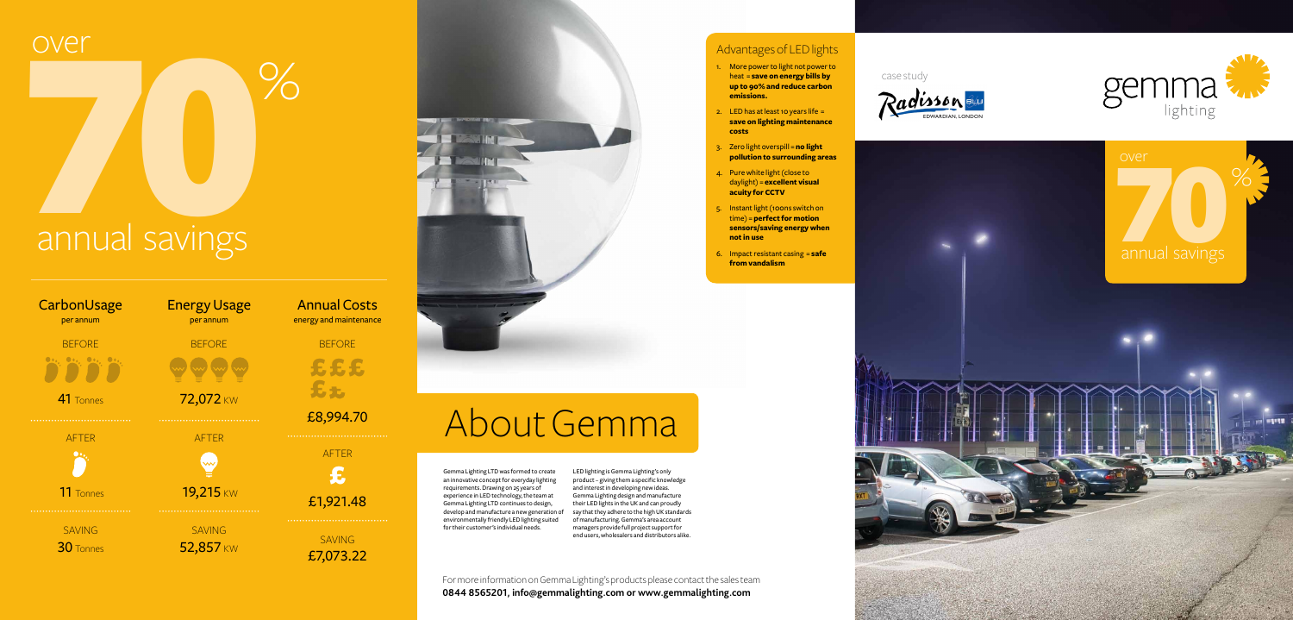

Gemma Lighting LTD was formed to create an innovative concept for everyday lighting requirements. Drawing on 25 years of experience in LED technology, the team at Gemma Lighting LTD continues to design, develop and manufacture a new generation of say that they adhere to the high UK standards environmentally friendly LED lighting suited for their customer's individual needs.

LED lighting is Gemma Lighting's only product – giving them a specific knowledge and interest in developing new ideas. Gemma Lighting design and manufacture their LED lights in the UK and can proudly of manufacturing. Gemma's area account managers provide full project support for end users, wholesalers and distributors alike.

# over<br>
20 Mannual savings annual savings

### Advantages of LED lights





- 1. More power to light not power to heat = **save on energy bills by up to 90% and reduce carbon emissions.**
- 2. LED has at least 10 years life  $=$ **save on lighting maintenance costs**
- 3. Zero light overspill = **no light pollution to surrounding areas**
- 4. Pure white light (close to daylight) = **excellent visual acuity for CCTV**
- 5. Instant light (100ns switch on time) = **perfect for motion sensors/saving energy when not in use**
- 6. Impact resistant casing = **safe from vandalism**



For more information on Gemma Lighting's products please contact the sales team **0844 8565201, info@gemmalighting.com or www.gemmalighting.com**

# About Gemma

over

| CarbonUsage<br>per annum  | <b>Energy Usage</b><br>per annum |
|---------------------------|----------------------------------|
| <b>BEFORE</b>             | <b>BEFORE</b>                    |
| $\bullet \bullet_\bullet$ |                                  |
| 41 Tonnes                 | 72,072 KW                        |
| .                         | .                                |
| <b>AFTER</b>              | <b>AFTER</b>                     |
|                           | $\rightsquigarrow$               |
| 11 Tonnes                 | 19,215 KW<br>.                   |
| <b>SAVING</b>             | <b>SAVING</b>                    |
| $30$ Tonnes               | 52,857 KW                        |



SAVING £7,073.22